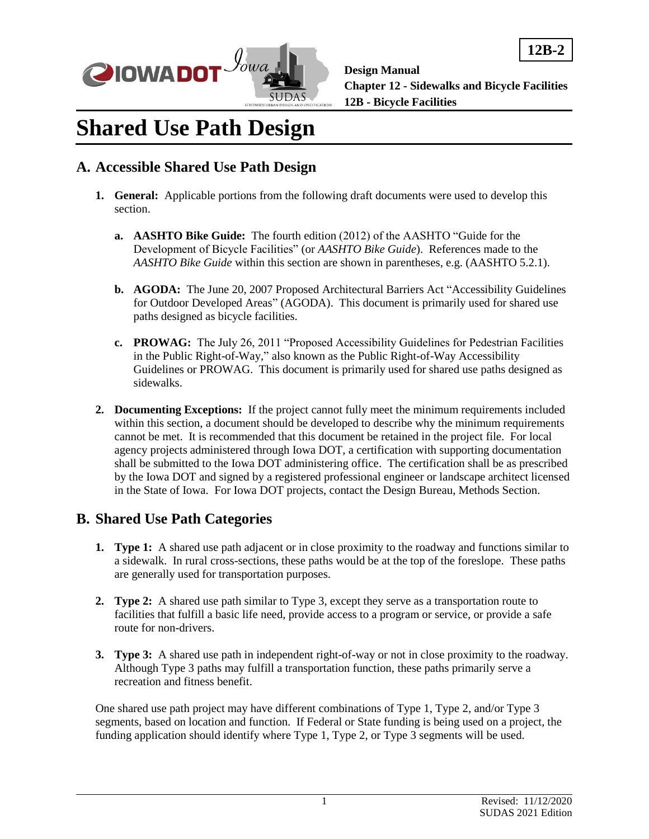

**12B-2**

# **Shared Use Path Design**

## **A. Accessible Shared Use Path Design**

- **1. General:** Applicable portions from the following draft documents were used to develop this section.
	- **a. AASHTO Bike Guide:** The fourth edition (2012) of the AASHTO "Guide for the Development of Bicycle Facilities" (or *AASHTO Bike Guide*). References made to the *AASHTO Bike Guide* within this section are shown in parentheses, e.g. (AASHTO 5.2.1).
	- **b. AGODA:** The June 20, 2007 Proposed Architectural Barriers Act "Accessibility Guidelines for Outdoor Developed Areas" (AGODA). This document is primarily used for shared use paths designed as bicycle facilities.
	- **c. PROWAG:** The July 26, 2011 "Proposed Accessibility Guidelines for Pedestrian Facilities in the Public Right-of-Way," also known as the Public Right-of-Way Accessibility Guidelines or PROWAG. This document is primarily used for shared use paths designed as sidewalks.
- **2. Documenting Exceptions:** If the project cannot fully meet the minimum requirements included within this section, a document should be developed to describe why the minimum requirements cannot be met. It is recommended that this document be retained in the project file. For local agency projects administered through Iowa DOT, a certification with supporting documentation shall be submitted to the Iowa DOT administering office. The certification shall be as prescribed by the Iowa DOT and signed by a registered professional engineer or landscape architect licensed in the State of Iowa. For Iowa DOT projects, contact the Design Bureau, Methods Section.

## **B. Shared Use Path Categories**

- **1. Type 1:** A shared use path adjacent or in close proximity to the roadway and functions similar to a sidewalk. In rural cross-sections, these paths would be at the top of the foreslope. These paths are generally used for transportation purposes.
- **2. Type 2:** A shared use path similar to Type 3, except they serve as a transportation route to facilities that fulfill a basic life need, provide access to a program or service, or provide a safe route for non-drivers.
- **3. Type 3:** A shared use path in independent right-of-way or not in close proximity to the roadway. Although Type 3 paths may fulfill a transportation function, these paths primarily serve a recreation and fitness benefit.

One shared use path project may have different combinations of Type 1, Type 2, and/or Type 3 segments, based on location and function. If Federal or State funding is being used on a project, the funding application should identify where Type 1, Type 2, or Type 3 segments will be used.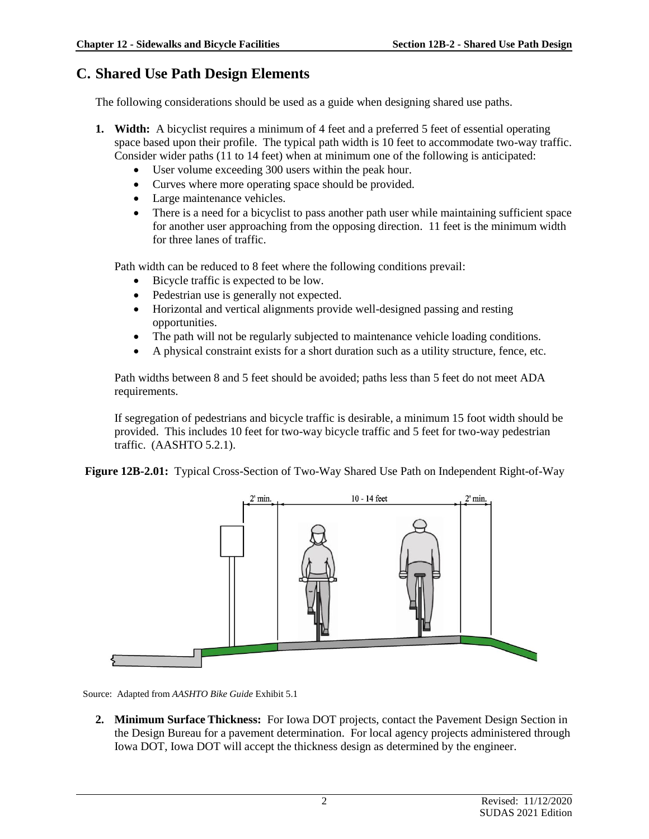## **C. Shared Use Path Design Elements**

The following considerations should be used as a guide when designing shared use paths.

- **1. Width:** A bicyclist requires a minimum of 4 feet and a preferred 5 feet of essential operating space based upon their profile. The typical path width is 10 feet to accommodate two-way traffic. Consider wider paths (11 to 14 feet) when at minimum one of the following is anticipated:
	- User volume exceeding 300 users within the peak hour.
	- Curves where more operating space should be provided.
	- Large maintenance vehicles.
	- There is a need for a bicyclist to pass another path user while maintaining sufficient space for another user approaching from the opposing direction. 11 feet is the minimum width for three lanes of traffic.

Path width can be reduced to 8 feet where the following conditions prevail:

- Bicycle traffic is expected to be low.
- Pedestrian use is generally not expected.
- Horizontal and vertical alignments provide well-designed passing and resting opportunities.
- The path will not be regularly subjected to maintenance vehicle loading conditions.
- A physical constraint exists for a short duration such as a utility structure, fence, etc.

Path widths between 8 and 5 feet should be avoided; paths less than 5 feet do not meet ADA requirements.

If segregation of pedestrians and bicycle traffic is desirable, a minimum 15 foot width should be provided. This includes 10 feet for two-way bicycle traffic and 5 feet for two-way pedestrian traffic. (AASHTO 5.2.1).

**Figure 12B-2.01:** Typical Cross-Section of Two-Way Shared Use Path on Independent Right-of-Way



Source: Adapted from *AASHTO Bike Guide* Exhibit 5.1

**2. Minimum Surface Thickness:** For Iowa DOT projects, contact the Pavement Design Section in the Design Bureau for a pavement determination. For local agency projects administered through Iowa DOT, Iowa DOT will accept the thickness design as determined by the engineer.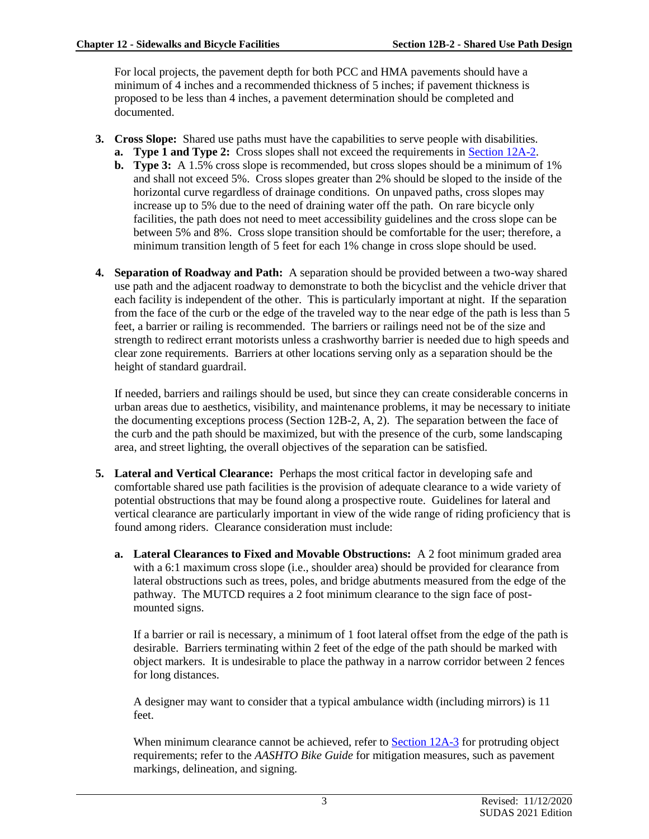For local projects, the pavement depth for both PCC and HMA pavements should have a minimum of 4 inches and a recommended thickness of 5 inches; if pavement thickness is proposed to be less than 4 inches, a pavement determination should be completed and documented.

- **3. Cross Slope:** Shared use paths must have the capabilities to serve people with disabilities.
	- **a. Type 1 and Type 2:** Cross slopes shall not exceed the requirements in [Section 12A-2.](https://intrans.iastate.edu/app/uploads/sites/15/2020/03/12A-2.pdf)
		- **b. Type 3:** A 1.5% cross slope is recommended, but cross slopes should be a minimum of 1% and shall not exceed 5%. Cross slopes greater than 2% should be sloped to the inside of the horizontal curve regardless of drainage conditions. On unpaved paths, cross slopes may increase up to 5% due to the need of draining water off the path. On rare bicycle only facilities, the path does not need to meet accessibility guidelines and the cross slope can be between 5% and 8%. Cross slope transition should be comfortable for the user; therefore, a minimum transition length of 5 feet for each 1% change in cross slope should be used.
- **4. Separation of Roadway and Path:** A separation should be provided between a two-way shared use path and the adjacent roadway to demonstrate to both the bicyclist and the vehicle driver that each facility is independent of the other. This is particularly important at night. If the separation from the face of the curb or the edge of the traveled way to the near edge of the path is less than 5 feet, a barrier or railing is recommended. The barriers or railings need not be of the size and strength to redirect errant motorists unless a crashworthy barrier is needed due to high speeds and clear zone requirements. Barriers at other locations serving only as a separation should be the height of standard guardrail.

If needed, barriers and railings should be used, but since they can create considerable concerns in urban areas due to aesthetics, visibility, and maintenance problems, it may be necessary to initiate the documenting exceptions process (Section 12B-2, A, 2). The separation between the face of the curb and the path should be maximized, but with the presence of the curb, some landscaping area, and street lighting, the overall objectives of the separation can be satisfied.

- **5. Lateral and Vertical Clearance:** Perhaps the most critical factor in developing safe and comfortable shared use path facilities is the provision of adequate clearance to a wide variety of potential obstructions that may be found along a prospective route. Guidelines for lateral and vertical clearance are particularly important in view of the wide range of riding proficiency that is found among riders. Clearance consideration must include:
	- **a. Lateral Clearances to Fixed and Movable Obstructions:** A 2 foot minimum graded area with a 6:1 maximum cross slope (i.e., shoulder area) should be provided for clearance from lateral obstructions such as trees, poles, and bridge abutments measured from the edge of the pathway. The MUTCD requires a 2 foot minimum clearance to the sign face of postmounted signs.

If a barrier or rail is necessary, a minimum of 1 foot lateral offset from the edge of the path is desirable. Barriers terminating within 2 feet of the edge of the path should be marked with object markers. It is undesirable to place the pathway in a narrow corridor between 2 fences for long distances.

A designer may want to consider that a typical ambulance width (including mirrors) is 11 feet.

When minimum clearance cannot be achieved, refer to [Section 12A-3](https://intrans.iastate.edu/app/uploads/sites/15/2020/03/12A-3.pdf) for protruding object requirements; refer to the *AASHTO Bike Guide* for mitigation measures, such as pavement markings, delineation, and signing.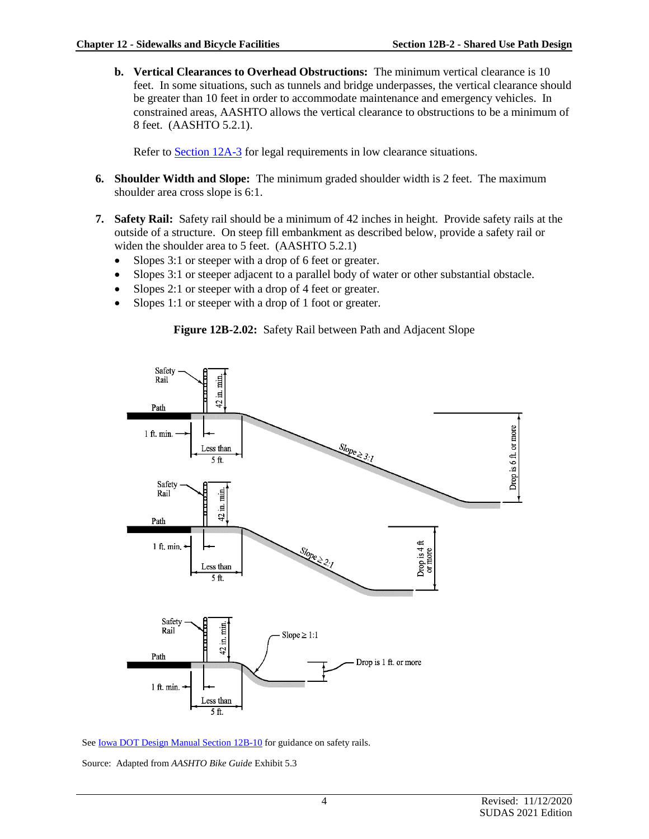**b. Vertical Clearances to Overhead Obstructions:** The minimum vertical clearance is 10 feet. In some situations, such as tunnels and bridge underpasses, the vertical clearance should be greater than 10 feet in order to accommodate maintenance and emergency vehicles. In constrained areas, AASHTO allows the vertical clearance to obstructions to be a minimum of 8 feet. (AASHTO 5.2.1).

Refer to [Section 12A-3](https://intrans.iastate.edu/app/uploads/sites/15/2020/03/12A-3.pdf) for legal requirements in low clearance situations.

- **6. Shoulder Width and Slope:** The minimum graded shoulder width is 2 feet. The maximum shoulder area cross slope is 6:1.
- **7. Safety Rail:** Safety rail should be a minimum of 42 inches in height. Provide safety rails at the outside of a structure. On steep fill embankment as described below, provide a safety rail or widen the shoulder area to 5 feet. (AASHTO 5.2.1)
	- Slopes 3:1 or steeper with a drop of 6 feet or greater.
	- Slopes 3:1 or steeper adjacent to a parallel body of water or other substantial obstacle.
	- Slopes 2:1 or steeper with a drop of 4 feet or greater.
	- Slopes 1:1 or steeper with a drop of 1 foot or greater.





See **Iowa DOT Design Manual Section 12B-10** for guidance on safety rails.

Source: Adapted from *AASHTO Bike Guide* Exhibit 5.3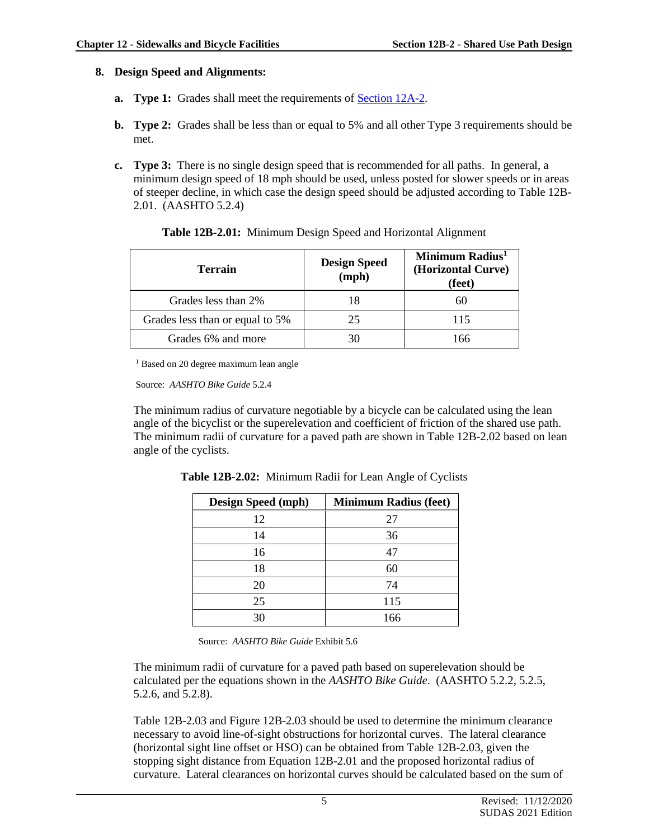#### **8. Design Speed and Alignments:**

- **a. Type 1:** Grades shall meet the requirements of **[Section 12A-2.](https://intrans.iastate.edu/app/uploads/sites/15/2020/03/12A-2.pdf)**
- **b. Type 2:** Grades shall be less than or equal to 5% and all other Type 3 requirements should be met.
- **c. Type 3:** There is no single design speed that is recommended for all paths. In general, a minimum design speed of 18 mph should be used, unless posted for slower speeds or in areas of steeper decline, in which case the design speed should be adjusted according to Table 12B-2.01. (AASHTO 5.2.4)

| <b>Terrain</b>                  | <b>Design Speed</b><br>(mph) | Minimum Radius <sup>1</sup><br>(Horizontal Curve)<br>(feet) |  |  |  |
|---------------------------------|------------------------------|-------------------------------------------------------------|--|--|--|
| Grades less than 2%             | 18                           |                                                             |  |  |  |
| Grades less than or equal to 5% | 25                           | 115                                                         |  |  |  |
| Grades 6% and more              | 30                           | 166                                                         |  |  |  |

| Table 12B-2.01: Minimum Design Speed and Horizontal Alignment |  |  |  |
|---------------------------------------------------------------|--|--|--|
|                                                               |  |  |  |

<sup>1</sup> Based on 20 degree maximum lean angle

Source: *AASHTO Bike Guide* 5.2.4

The minimum radius of curvature negotiable by a bicycle can be calculated using the lean angle of the bicyclist or the superelevation and coefficient of friction of the shared use path. The minimum radii of curvature for a paved path are shown in Table 12B-2.02 based on lean angle of the cyclists.

| <b>Design Speed (mph)</b> | <b>Minimum Radius (feet)</b> |
|---------------------------|------------------------------|
| 12                        | 27                           |
| 14                        | 36                           |
| 16                        | 47                           |
| 18                        | 60                           |
| 20                        | 74                           |
| 25                        | 115                          |
| 30                        | 166                          |

**Table 12B-2.02:** Minimum Radii for Lean Angle of Cyclists

Source: *AASHTO Bike Guide* Exhibit 5.6

The minimum radii of curvature for a paved path based on superelevation should be calculated per the equations shown in the *AASHTO Bike Guide*. (AASHTO 5.2.2, 5.2.5, 5.2.6, and 5.2.8).

Table 12B-2.03 and Figure 12B-2.03 should be used to determine the minimum clearance necessary to avoid line-of-sight obstructions for horizontal curves. The lateral clearance (horizontal sight line offset or HSO) can be obtained from Table 12B-2.03, given the stopping sight distance from Equation 12B-2.01 and the proposed horizontal radius of curvature. Lateral clearances on horizontal curves should be calculated based on the sum of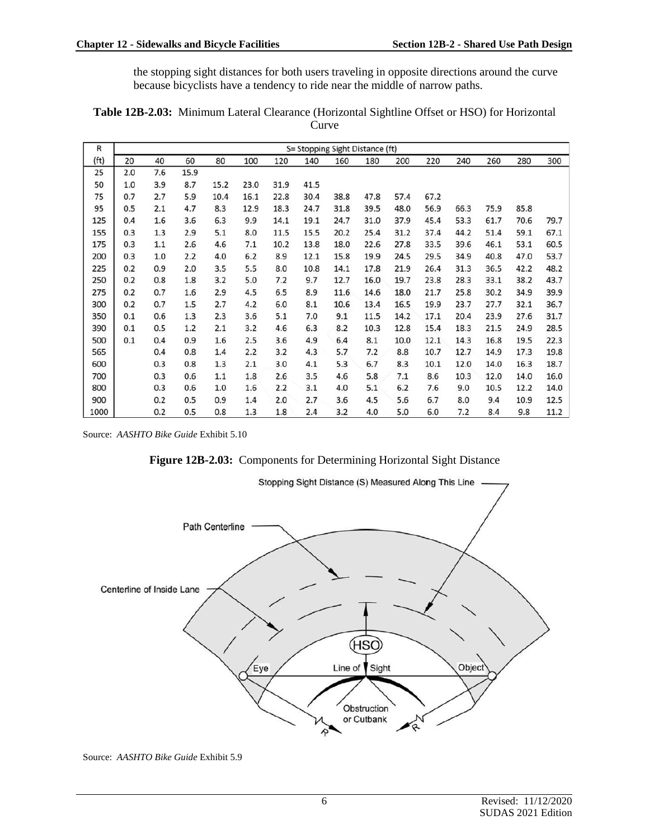the stopping sight distances for both users traveling in opposite directions around the curve because bicyclists have a tendency to ride near the middle of narrow paths.

| R                 |     |     |      |      |      |      |      | S= Stopping Sight Distance (ft) |      |      |      |      |      |      |      |
|-------------------|-----|-----|------|------|------|------|------|---------------------------------|------|------|------|------|------|------|------|
| (f <sup>t</sup> ) | 20  | 40  | 60   | 80   | 100  | 120  | 140  | 160                             | 180  | 200  | 220  | 240  | 260  | 280  | 300  |
| 25                | 2.0 | 7.6 | 15.9 |      |      |      |      |                                 |      |      |      |      |      |      |      |
| 50                | 1.0 | 3.9 | 8.7  | 15.2 | 23.0 | 31.9 | 41.5 |                                 |      |      |      |      |      |      |      |
| 75                | 0.7 | 2.7 | 5.9  | 10.4 | 16.1 | 22.8 | 30.4 | 38.8                            | 47.8 | 57.4 | 67.2 |      |      |      |      |
| 95                | 0.5 | 2.1 | 4.7  | 8.3  | 12.9 | 18.3 | 24.7 | 31.8                            | 39.5 | 48.0 | 56.9 | 66.3 | 75.9 | 85.8 |      |
| 125               | 0.4 | 1.6 | 3.6  | 6.3  | 9.9  | 14.1 | 19.1 | 24.7                            | 31.0 | 37.9 | 45.4 | 53.3 | 61.7 | 70.6 | 79.7 |
| 155               | 0.3 | 1.3 | 2.9  | 5.1  | 8.0  | 11.5 | 15.5 | 20.2                            | 25.4 | 31.2 | 37.4 | 44.2 | 51.4 | 59.1 | 67.1 |
| 175               | 0.3 | 1.1 | 2.6  | 4.6  | 7.1  | 10.2 | 13.8 | 18.0                            | 22.6 | 27.8 | 33.5 | 39.6 | 46.1 | 53.1 | 60.5 |
| 200               | 0.3 | 1.0 | 2.2  | 4.0  | 6.2  | 8.9  | 12.1 | 15.8                            | 19.9 | 24.5 | 29.5 | 34.9 | 40.8 | 47.0 | 53.7 |
| 225               | 0.2 | 0.9 | 2.0  | 3.5  | 5.5  | 8.0  | 10.8 | 14.1                            | 17.8 | 21.9 | 26.4 | 31.3 | 36.5 | 42.2 | 48.2 |
| 250               | 0.2 | 0.8 | 1.8  | 3.2  | 5.0  | 7.2  | 9.7  | 12.7                            | 16.0 | 19.7 | 23.8 | 28.3 | 33.1 | 38.2 | 43.7 |
| 275               | 0.2 | 0.7 | 1.6  | 2.9  | 4.5  | 6.5  | 8.9  | 11.6                            | 14.6 | 18.0 | 21.7 | 25.8 | 30.2 | 34.9 | 39.9 |
| 300               | 0.2 | 0.7 | 1.5  | 2.7  | 4.2  | 6.0  | 8.1  | 10.6                            | 13.4 | 16.5 | 19.9 | 23.7 | 27.7 | 32.1 | 36.7 |
| 350               | 0.1 | 0.6 | 1.3  | 2.3  | 3.6  | 5.1  | 7.0  | 9.1                             | 11.5 | 14.2 | 17.1 | 20.4 | 23.9 | 27.6 | 31.7 |
| 390               | 0.1 | 0.5 | 1.2  | 2.1  | 3.2  | 4.6  | 6.3  | 8.2                             | 10.3 | 12.8 | 15.4 | 18.3 | 21.5 | 24.9 | 28.5 |
| 500               | 0.1 | 0.4 | 0.9  | 1.6  | 2.5  | 3.6  | 4.9  | 6.4                             | 8.1  | 10.0 | 12.1 | 14.3 | 16.8 | 19.5 | 22.3 |
| 565               |     | 0.4 | 0.8  | 1.4  | 2.2  | 3.2  | 4.3  | 5.7                             | 7.2  | 8.8  | 10.7 | 12.7 | 14.9 | 17.3 | 19.8 |
| 600               |     | 0.3 | 0.8  | 1.3  | 2.1  | 3.0  | 4.1  | 5.3                             | 6.7  | 8.3  | 10.1 | 12.0 | 14.0 | 16.3 | 18.7 |
| 700               |     | 0.3 | 0.6  | 1.1  | 1.8  | 2.6  | 3.5  | 4.6                             | 5.8  | 7.1  | 8.6  | 10.3 | 12.0 | 14.0 | 16.0 |
| 800               |     | 0.3 | 0.6  | 1.0  | 1.6  | 2.2  | 3.1  | 4.0                             | 5.1  | 6.2  | 7.6  | 9.0  | 10.5 | 12.2 | 14.0 |
| 900               |     | 0.2 | 0.5  | 0.9  | 1.4  | 2.0  | 2.7  | 3.6                             | 4.5  | 5.6  | 6.7  | 8.0  | 9.4  | 10.9 | 12.5 |
| 1000              |     | 0.2 | 0.5  | 0.8  | 1.3  | 1.8  | 2.4  | 3.2                             | 4.0  | 5.0  | 6.0  | 7.2  | 8.4  | 9.8  | 11.2 |

**Table 12B-2.03:** Minimum Lateral Clearance (Horizontal Sightline Offset or HSO) for Horizontal Curve

Source: *AASHTO Bike Guide* Exhibit 5.10

**Figure 12B-2.03:** Components for Determining Horizontal Sight Distance



Source: *AASHTO Bike Guide* Exhibit 5.9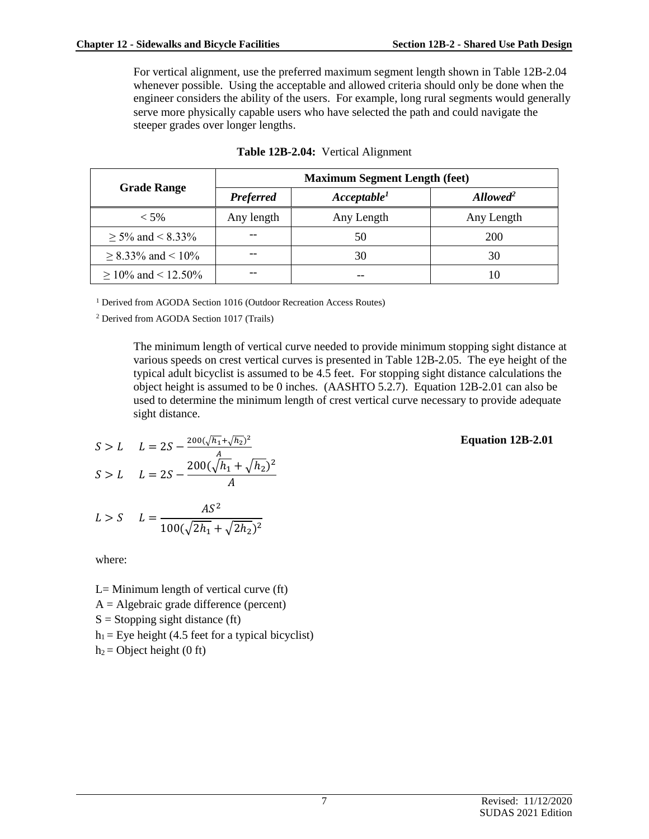For vertical alignment, use the preferred maximum segment length shown in Table 12B-2.04 whenever possible. Using the acceptable and allowed criteria should only be done when the engineer considers the ability of the users. For example, long rural segments would generally serve more physically capable users who have selected the path and could navigate the steeper grades over longer lengths.

|                         | <b>Maximum Segment Length (feet)</b> |                         |                          |  |  |  |  |  |  |
|-------------------------|--------------------------------------|-------------------------|--------------------------|--|--|--|--|--|--|
| <b>Grade Range</b>      | <b>Preferred</b>                     | Acceptable <sup>1</sup> | $\boldsymbol{Allowed}^2$ |  |  |  |  |  |  |
| $<$ 5%                  | Any length                           | Any Length              | Any Length               |  |  |  |  |  |  |
| $\geq$ 5% and < 8.33%   |                                      | 50                      | <b>200</b>               |  |  |  |  |  |  |
| $\geq$ 8.33% and < 10%  |                                      | 30                      | 30                       |  |  |  |  |  |  |
| $\geq$ 10% and < 12.50% |                                      |                         | 10                       |  |  |  |  |  |  |

|  |  | Table 12B-2.04: Vertical Alignment |
|--|--|------------------------------------|
|--|--|------------------------------------|

<sup>1</sup> Derived from AGODA Section 1016 (Outdoor Recreation Access Routes)

<sup>2</sup> Derived from AGODA Section 1017 (Trails)

The minimum length of vertical curve needed to provide minimum stopping sight distance at various speeds on crest vertical curves is presented in Table 12B-2.05. The eye height of the typical adult bicyclist is assumed to be 4.5 feet. For stopping sight distance calculations the object height is assumed to be 0 inches. (AASHTO 5.2.7). Equation 12B-2.01 can also be used to determine the minimum length of crest vertical curve necessary to provide adequate sight distance.

$$
S > L \qquad L = 2S - \frac{200(\sqrt{h_1} + \sqrt{h_2})^2}{A} \qquad \qquad
$$

$$
S > L \qquad L = 2S - \frac{200(\sqrt{h_1} + \sqrt{h_2})^2}{A}
$$

$$
L > S \qquad L = \frac{AS^2}{100(\sqrt{2h_1} + \sqrt{2h_2})^2}
$$

where:

- $L=$  Minimum length of vertical curve (ft)
- $A =$  Algebraic grade difference (percent)
- $S =$ Stopping sight distance (ft)
- $h_1$  = Eye height (4.5 feet for a typical bicyclist)
- $h_2$  = Object height (0 ft)

**Equation 12B-2.01**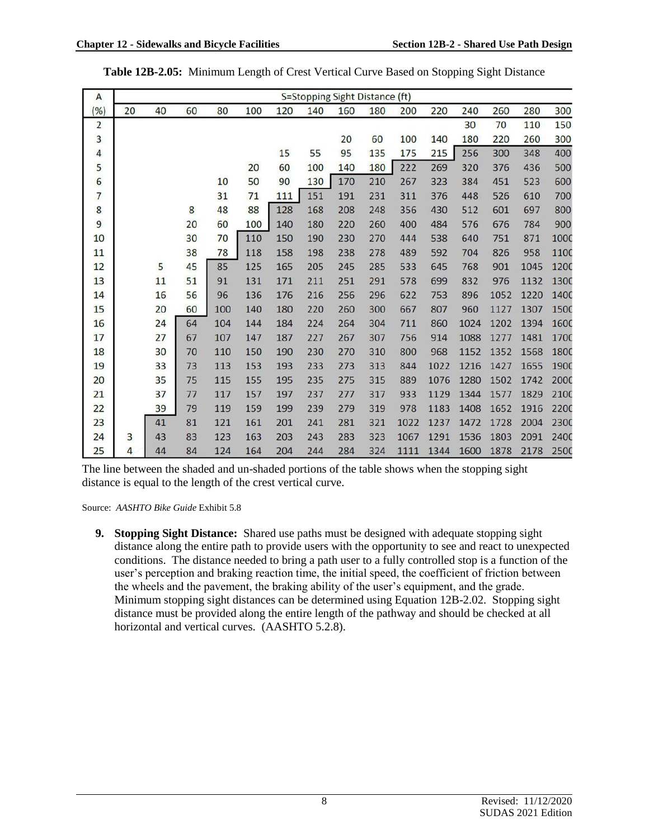| $\mathsf{A}$   |    |    |    |     |     |     |     | S=Stopping Sight Distance (ft) |     |      |      |      |      |      |      |
|----------------|----|----|----|-----|-----|-----|-----|--------------------------------|-----|------|------|------|------|------|------|
| (%)            | 20 | 40 | 60 | 80  | 100 | 120 | 140 | 160                            | 180 | 200  | 220  | 240  | 260  | 280  | 300  |
| $\overline{2}$ |    |    |    |     |     |     |     |                                |     |      |      | 30   | 70   | 110  | 150  |
| 3              |    |    |    |     |     |     |     | 20                             | 60  | 100  | 140  | 180  | 220  | 260  | 300  |
| 4              |    |    |    |     |     | 15  | 55  | 95                             | 135 | 175  | 215  | 256  | 300  | 348  | 400  |
| 5              |    |    |    |     | 20  | 60  | 100 | 140                            | 180 | 222  | 269  | 320  | 376  | 436  | 500  |
| 6              |    |    |    | 10  | 50  | 90  | 130 | 170                            | 210 | 267  | 323  | 384  | 451  | 523  | 600  |
| 7              |    |    |    | 31  | 71  | 111 | 151 | 191                            | 231 | 311  | 376  | 448  | 526  | 610  | 700  |
| 8              |    |    | 8  | 48  | 88  | 128 | 168 | 208                            | 248 | 356  | 430  | 512  | 601  | 697  | 800  |
| 9              |    |    | 20 | 60  | 100 | 140 | 180 | 220                            | 260 | 400  | 484  | 576  | 676  | 784  | 900  |
| 10             |    |    | 30 | 70  | 110 | 150 | 190 | 230                            | 270 | 444  | 538  | 640  | 751  | 871  | 1000 |
| 11             |    |    | 38 | 78  | 118 | 158 | 198 | 238                            | 278 | 489  | 592  | 704  | 826  | 958  | 1100 |
| 12             |    | 5  | 45 | 85  | 125 | 165 | 205 | 245                            | 285 | 533  | 645  | 768  | 901  | 1045 | 1200 |
| 13             |    | 11 | 51 | 91  | 131 | 171 | 211 | 251                            | 291 | 578  | 699  | 832  | 976  | 1132 | 1300 |
| 14             |    | 16 | 56 | 96  | 136 | 176 | 216 | 256                            | 296 | 622  | 753  | 896  | 1052 | 1220 | 1400 |
| 15             |    | 20 | 60 | 100 | 140 | 180 | 220 | 260                            | 300 | 667  | 807  | 960  | 1127 | 1307 | 1500 |
| 16             |    | 24 | 64 | 104 | 144 | 184 | 224 | 264                            | 304 | 711  | 860  | 1024 | 1202 | 1394 | 1600 |
| 17             |    | 27 | 67 | 107 | 147 | 187 | 227 | 267                            | 307 | 756  | 914  | 1088 | 1277 | 1481 | 1700 |
| 18             |    | 30 | 70 | 110 | 150 | 190 | 230 | 270                            | 310 | 800  | 968  | 1152 | 1352 | 1568 | 1800 |
| 19             |    | 33 | 73 | 113 | 153 | 193 | 233 | 273                            | 313 | 844  | 1022 | 1216 | 1427 | 1655 | 1900 |
| 20             |    | 35 | 75 | 115 | 155 | 195 | 235 | 275                            | 315 | 889  | 1076 | 1280 | 1502 | 1742 | 2000 |
| 21             |    | 37 | 77 | 117 | 157 | 197 | 237 | 277                            | 317 | 933  | 1129 | 1344 | 1577 | 1829 | 2100 |
| 22             |    | 39 | 79 | 119 | 159 | 199 | 239 | 279                            | 319 | 978  | 1183 | 1408 | 1652 | 1916 | 2200 |
| 23             |    | 41 | 81 | 121 | 161 | 201 | 241 | 281                            | 321 | 1022 | 1237 | 1472 | 1728 | 2004 | 2300 |
| 24             | 3  | 43 | 83 | 123 | 163 | 203 | 243 | 283                            | 323 | 1067 | 1291 | 1536 | 1803 | 2091 | 2400 |
| 25             | 4  | 44 | 84 | 124 | 164 | 204 | 244 | 284                            | 324 | 1111 | 1344 | 1600 | 1878 | 2178 | 2500 |

|  | Table 12B-2.05: Minimum Length of Crest Vertical Curve Based on Stopping Sight Distance |
|--|-----------------------------------------------------------------------------------------|
|--|-----------------------------------------------------------------------------------------|

The line between the shaded and un-shaded portions of the table shows when the stopping sight distance is equal to the length of the crest vertical curve.

Source: *AASHTO Bike Guide* Exhibit 5.8

**9. Stopping Sight Distance:** Shared use paths must be designed with adequate stopping sight distance along the entire path to provide users with the opportunity to see and react to unexpected conditions. The distance needed to bring a path user to a fully controlled stop is a function of the user's perception and braking reaction time, the initial speed, the coefficient of friction between the wheels and the pavement, the braking ability of the user's equipment, and the grade. Minimum stopping sight distances can be determined using Equation 12B-2.02. Stopping sight distance must be provided along the entire length of the pathway and should be checked at all horizontal and vertical curves. (AASHTO 5.2.8).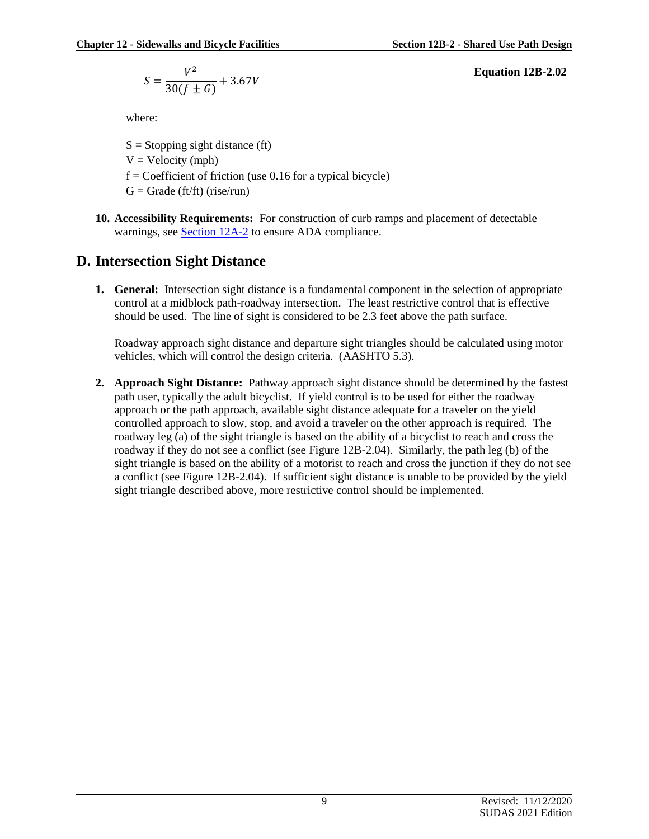$$
S = \frac{V^2}{30(f \pm G)} + 3.67V
$$

where:

 $S =$ Stopping sight distance (ft)  $V = Velocity (mph)$  $f = Coefficient of friction (use 0.16 for a typical bicycle)$  $G =$  Grade (ft/ft) (rise/run)

**10. Accessibility Requirements:** For construction of curb ramps and placement of detectable warnings, see **Section 12A-2** to ensure ADA compliance.

## **D. Intersection Sight Distance**

**1. General:** Intersection sight distance is a fundamental component in the selection of appropriate control at a midblock path-roadway intersection. The least restrictive control that is effective should be used. The line of sight is considered to be 2.3 feet above the path surface.

Roadway approach sight distance and departure sight triangles should be calculated using motor vehicles, which will control the design criteria. (AASHTO 5.3).

**2. Approach Sight Distance:** Pathway approach sight distance should be determined by the fastest path user, typically the adult bicyclist. If yield control is to be used for either the roadway approach or the path approach, available sight distance adequate for a traveler on the yield controlled approach to slow, stop, and avoid a traveler on the other approach is required. The roadway leg (a) of the sight triangle is based on the ability of a bicyclist to reach and cross the roadway if they do not see a conflict (see Figure 12B-2.04). Similarly, the path leg (b) of the sight triangle is based on the ability of a motorist to reach and cross the junction if they do not see a conflict (see Figure 12B-2.04). If sufficient sight distance is unable to be provided by the yield sight triangle described above, more restrictive control should be implemented.

**Equation 12B-2.02**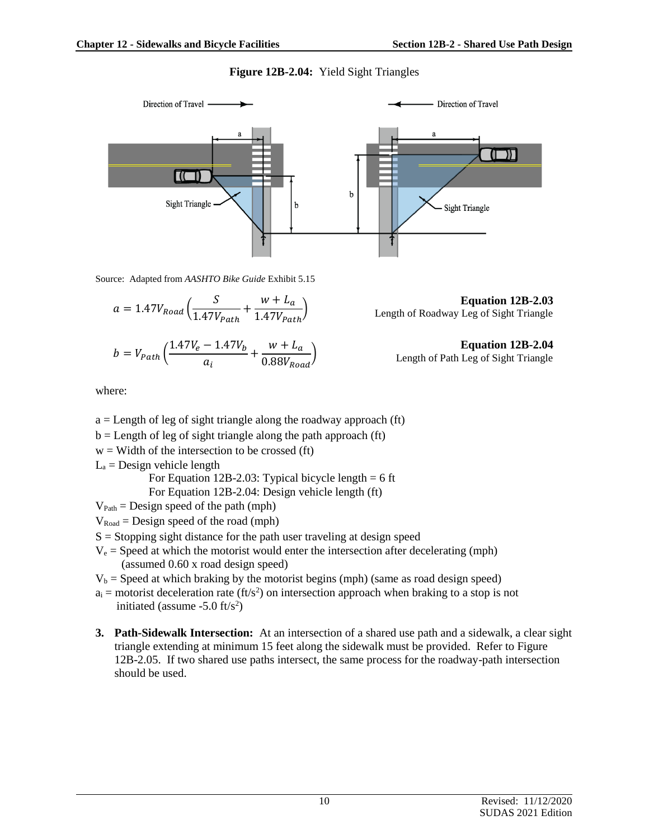#### **Figure 12B-2.04:** Yield Sight Triangles



Source: Adapted from *AASHTO Bike Guide* Exhibit 5.15

$$
a = 1.47V_{Road} \left( \frac{S}{1.47V_{Path}} + \frac{w + L_a}{1.47V_{Path}} \right)
$$

$$
b = V_{Path}\left(\frac{1.47V_e - 1.47V_b}{a_i} + \frac{w + L_a}{0.88V_{Road}}\right)
$$

where:

- $a =$  Length of leg of sight triangle along the roadway approach (ft)
- $b =$  Length of leg of sight triangle along the path approach (ft)
- $w =$  Width of the intersection to be crossed (ft)
- $L_a$  = Design vehicle length

For Equation 12B-2.03: Typical bicycle length  $= 6$  ft

For Equation 12B-2.04: Design vehicle length (ft)

- $V_{Path} = Design speed of the path (mph)$
- $V_{\text{Road}} =$  Design speed of the road (mph)
- $S =$  Stopping sight distance for the path user traveling at design speed
- $V_e$  = Speed at which the motorist would enter the intersection after decelerating (mph) (assumed 0.60 x road design speed)
- $V_b$  = Speed at which braking by the motorist begins (mph) (same as road design speed)
- $a_i$  = motorist deceleration rate (ft/s<sup>2</sup>) on intersection approach when braking to a stop is not initiated (assume  $-5.0$  ft/s<sup>2</sup>)
- **3. Path-Sidewalk Intersection:** At an intersection of a shared use path and a sidewalk, a clear sight triangle extending at minimum 15 feet along the sidewalk must be provided. Refer to Figure 12B-2.05. If two shared use paths intersect, the same process for the roadway-path intersection should be used.

**Equation 12B-2.04** Length of Path Leg of Sight Triangle

Length of Roadway Leg of Sight Triangle

**Equation 12B-2.03**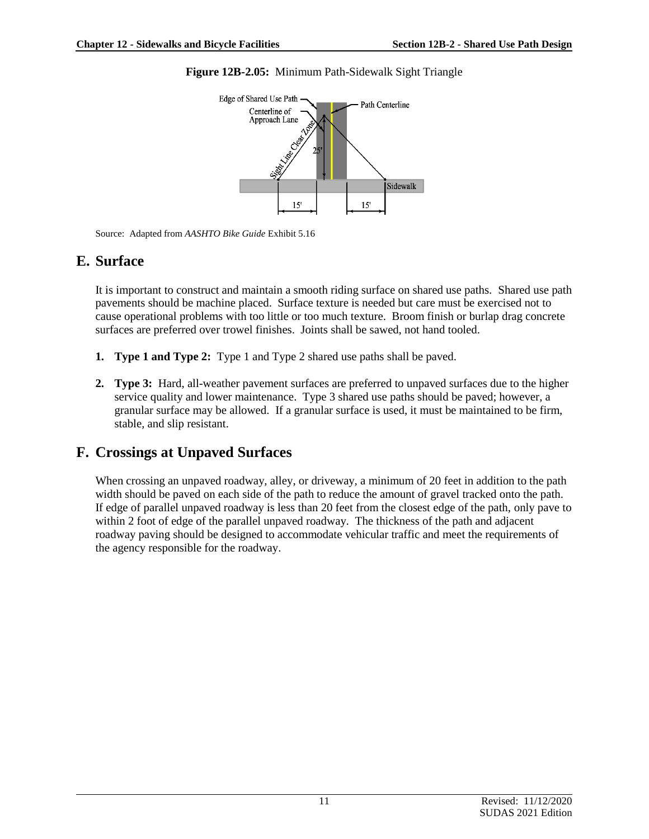

**Figure 12B-2.05:** Minimum Path-Sidewalk Sight Triangle

Source: Adapted from *AASHTO Bike Guide* Exhibit 5.16

## **E. Surface**

It is important to construct and maintain a smooth riding surface on shared use paths. Shared use path pavements should be machine placed. Surface texture is needed but care must be exercised not to cause operational problems with too little or too much texture. Broom finish or burlap drag concrete surfaces are preferred over trowel finishes. Joints shall be sawed, not hand tooled.

- **1. Type 1 and Type 2:** Type 1 and Type 2 shared use paths shall be paved.
- **2. Type 3:** Hard, all-weather pavement surfaces are preferred to unpaved surfaces due to the higher service quality and lower maintenance. Type 3 shared use paths should be paved; however, a granular surface may be allowed. If a granular surface is used, it must be maintained to be firm, stable, and slip resistant.

## **F. Crossings at Unpaved Surfaces**

When crossing an unpaved roadway, alley, or driveway, a minimum of 20 feet in addition to the path width should be paved on each side of the path to reduce the amount of gravel tracked onto the path. If edge of parallel unpaved roadway is less than 20 feet from the closest edge of the path, only pave to within 2 foot of edge of the parallel unpaved roadway. The thickness of the path and adjacent roadway paving should be designed to accommodate vehicular traffic and meet the requirements of the agency responsible for the roadway.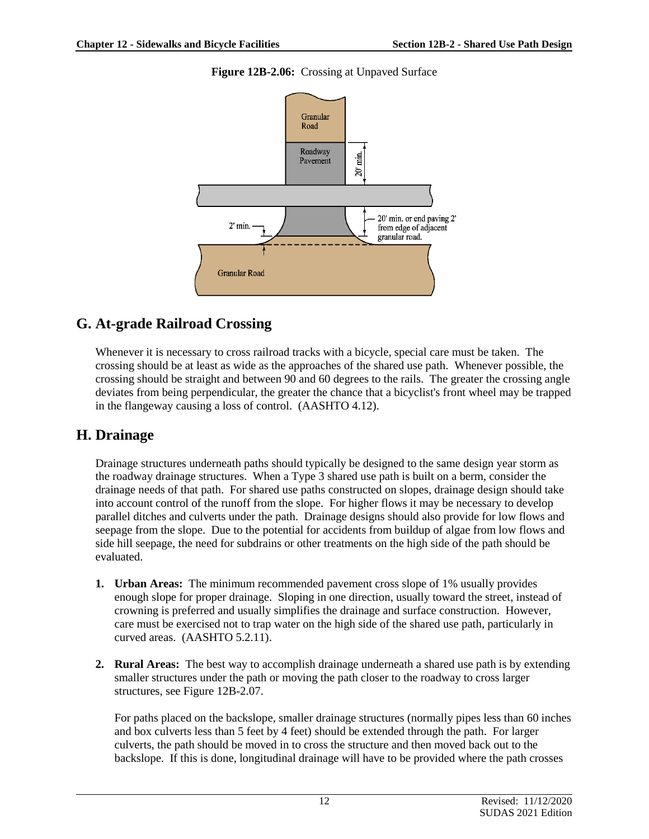#### **Figure 12B-2.06:** Crossing at Unpaved Surface



### **G. At-grade Railroad Crossing**

Whenever it is necessary to cross railroad tracks with a bicycle, special care must be taken. The crossing should be at least as wide as the approaches of the shared use path. Whenever possible, the crossing should be straight and between 90 and 60 degrees to the rails. The greater the crossing angle deviates from being perpendicular, the greater the chance that a bicyclist's front wheel may be trapped in the flangeway causing a loss of control. (AASHTO 4.12).

## **H. Drainage**

Drainage structures underneath paths should typically be designed to the same design year storm as the roadway drainage structures. When a Type 3 shared use path is built on a berm, consider the drainage needs of that path. For shared use paths constructed on slopes, drainage design should take into account control of the runoff from the slope. For higher flows it may be necessary to develop parallel ditches and culverts under the path. Drainage designs should also provide for low flows and seepage from the slope. Due to the potential for accidents from buildup of algae from low flows and side hill seepage, the need for subdrains or other treatments on the high side of the path should be evaluated.

- **1. Urban Areas:** The minimum recommended pavement cross slope of 1% usually provides enough slope for proper drainage. Sloping in one direction, usually toward the street, instead of crowning is preferred and usually simplifies the drainage and surface construction. However, care must be exercised not to trap water on the high side of the shared use path, particularly in curved areas. (AASHTO 5.2.11).
- **2. Rural Areas:** The best way to accomplish drainage underneath a shared use path is by extending smaller structures under the path or moving the path closer to the roadway to cross larger structures, see Figure 12B-2.07.

For paths placed on the backslope, smaller drainage structures (normally pipes less than 60 inches and box culverts less than 5 feet by 4 feet) should be extended through the path. For larger culverts, the path should be moved in to cross the structure and then moved back out to the backslope. If this is done, longitudinal drainage will have to be provided where the path crosses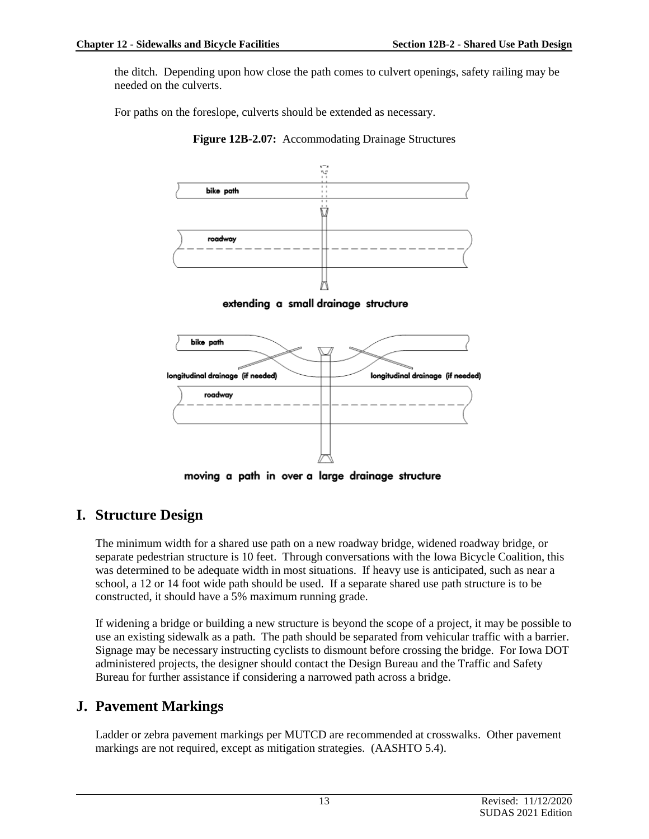the ditch. Depending upon how close the path comes to culvert openings, safety railing may be needed on the culverts.

For paths on the foreslope, culverts should be extended as necessary.





extending a small drainage structure



moving a path in over a large drainage structure

## **I. Structure Design**

The minimum width for a shared use path on a new roadway bridge, widened roadway bridge, or separate pedestrian structure is 10 feet. Through conversations with the Iowa Bicycle Coalition, this was determined to be adequate width in most situations. If heavy use is anticipated, such as near a school, a 12 or 14 foot wide path should be used. If a separate shared use path structure is to be constructed, it should have a 5% maximum running grade.

If widening a bridge or building a new structure is beyond the scope of a project, it may be possible to use an existing sidewalk as a path. The path should be separated from vehicular traffic with a barrier. Signage may be necessary instructing cyclists to dismount before crossing the bridge. For Iowa DOT administered projects, the designer should contact the Design Bureau and the Traffic and Safety Bureau for further assistance if considering a narrowed path across a bridge.

## **J. Pavement Markings**

Ladder or zebra pavement markings per MUTCD are recommended at crosswalks. Other pavement markings are not required, except as mitigation strategies. (AASHTO 5.4).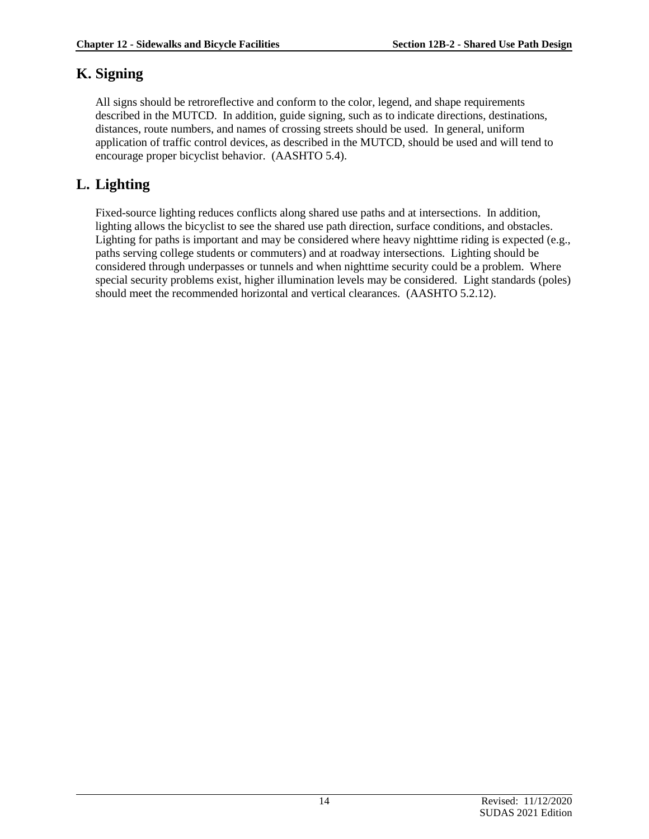## **K. Signing**

All signs should be retroreflective and conform to the color, legend, and shape requirements described in the MUTCD. In addition, guide signing, such as to indicate directions, destinations, distances, route numbers, and names of crossing streets should be used. In general, uniform application of traffic control devices, as described in the MUTCD, should be used and will tend to encourage proper bicyclist behavior. (AASHTO 5.4).

## **L. Lighting**

Fixed-source lighting reduces conflicts along shared use paths and at intersections. In addition, lighting allows the bicyclist to see the shared use path direction, surface conditions, and obstacles. Lighting for paths is important and may be considered where heavy nighttime riding is expected (e.g., paths serving college students or commuters) and at roadway intersections. Lighting should be considered through underpasses or tunnels and when nighttime security could be a problem. Where special security problems exist, higher illumination levels may be considered. Light standards (poles) should meet the recommended horizontal and vertical clearances. (AASHTO 5.2.12).